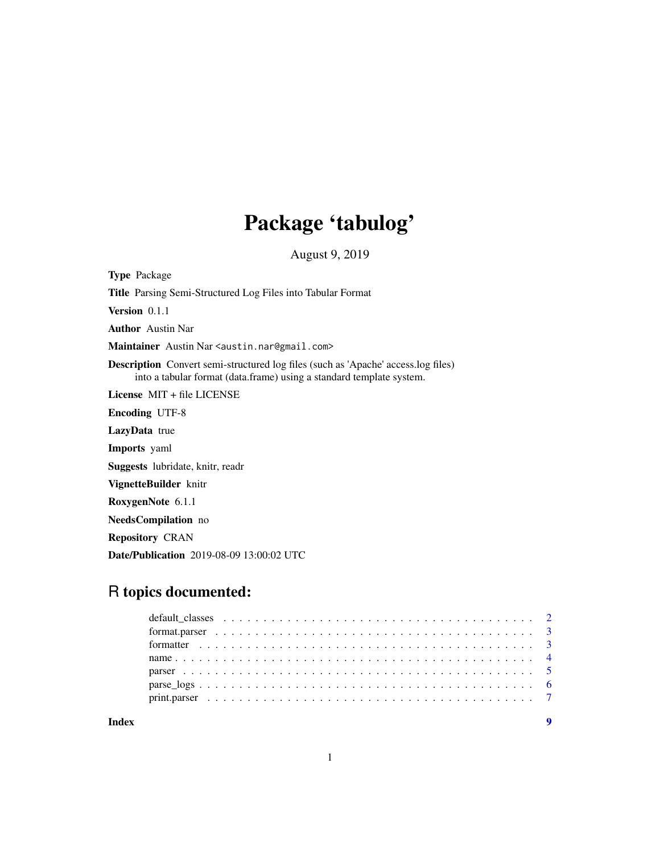## Package 'tabulog'

August 9, 2019

Type Package Title Parsing Semi-Structured Log Files into Tabular Format Version 0.1.1 Author Austin Nar Maintainer Austin Nar <austin.nar@gmail.com> Description Convert semi-structured log files (such as 'Apache' access.log files) into a tabular format (data.frame) using a standard template system. License MIT + file LICENSE Encoding UTF-8 LazyData true Imports yaml Suggests lubridate, knitr, readr VignetteBuilder knitr RoxygenNote 6.1.1 NeedsCompilation no Repository CRAN Date/Publication 2019-08-09 13:00:02 UTC

## R topics documented:

**Index** [9](#page-8-0)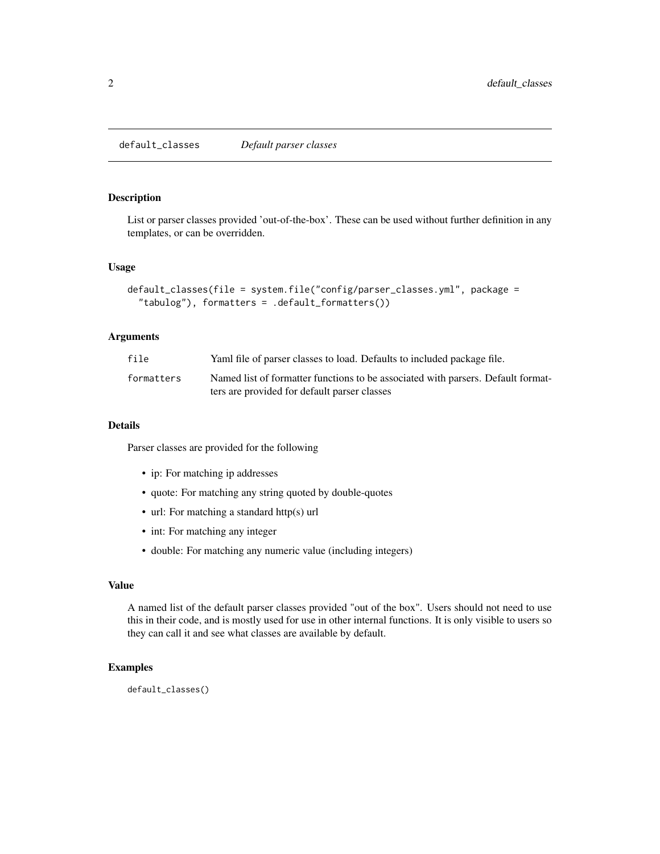#### <span id="page-1-0"></span>Description

List or parser classes provided 'out-of-the-box'. These can be used without further definition in any templates, or can be overridden.

#### Usage

```
default_classes(file = system.file("config/parser_classes.yml", package =
  "tabulog"), formatters = .default_formatters())
```
#### Arguments

| file       | Yaml file of parser classes to load. Defaults to included package file.          |
|------------|----------------------------------------------------------------------------------|
| formatters | Named list of formatter functions to be associated with parsers. Default format- |
|            | ters are provided for default parser classes                                     |

#### Details

Parser classes are provided for the following

- ip: For matching ip addresses
- quote: For matching any string quoted by double-quotes
- url: For matching a standard http(s) url
- int: For matching any integer
- double: For matching any numeric value (including integers)

#### Value

A named list of the default parser classes provided "out of the box". Users should not need to use this in their code, and is mostly used for use in other internal functions. It is only visible to users so they can call it and see what classes are available by default.

#### Examples

default\_classes()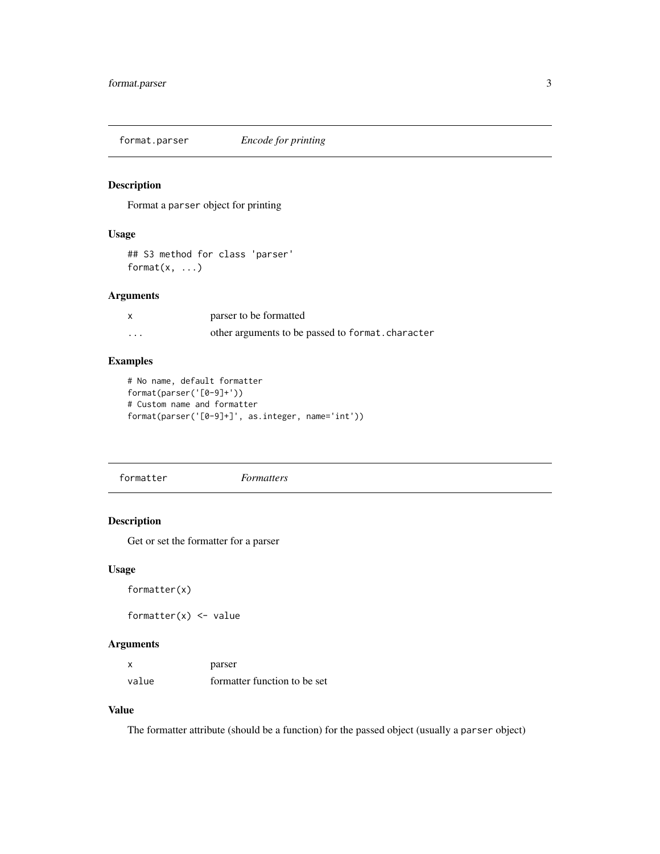<span id="page-2-0"></span>format.parser *Encode for printing*

#### Description

Format a parser object for printing

#### Usage

```
## S3 method for class 'parser'
format(x, \ldots)
```
#### Arguments

|          | parser to be formatted                            |
|----------|---------------------------------------------------|
| $\cdots$ | other arguments to be passed to format. character |

#### Examples

```
# No name, default formatter
format(parser('[0-9]+'))
# Custom name and formatter
format(parser('[0-9]+]', as.integer, name='int'))
```
formatter *Formatters*

#### Description

Get or set the formatter for a parser

#### Usage

```
formatter(x)
```
formatter $(x)$  <- value

#### Arguments

|       | parser                       |
|-------|------------------------------|
| value | formatter function to be set |

#### Value

The formatter attribute (should be a function) for the passed object (usually a parser object)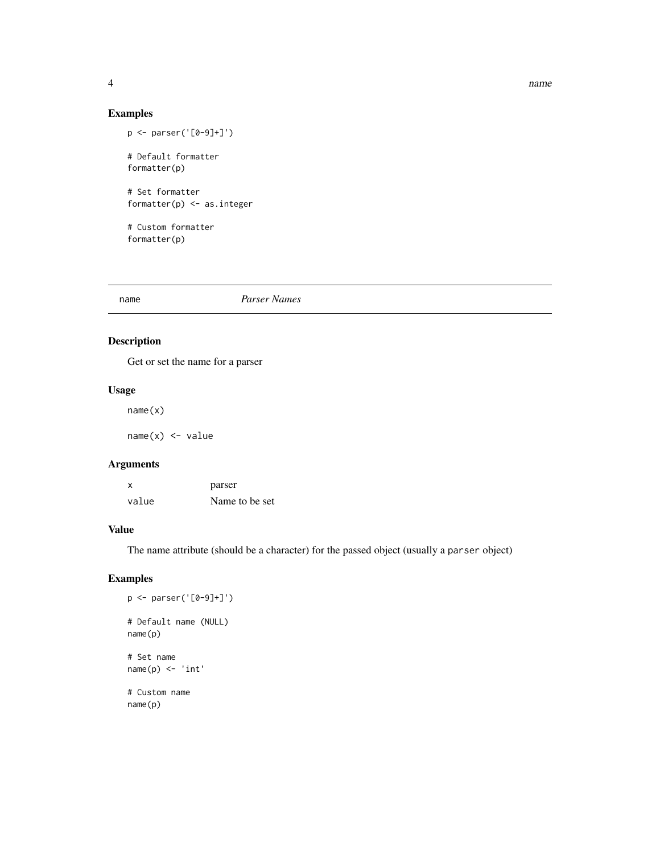#### 4 name and the set of the set of the set of the set of the set of the set of the set of the set of the set of the set of the set of the set of the set of the set of the set of the set of the set of the set of the set of th

#### Examples

```
p <- parser('[0-9]+]')
# Default formatter
formatter(p)
# Set formatter
formatter(p) <- as.integer
# Custom formatter
```
formatter(p)

name *Parser Names*

#### Description

Get or set the name for a parser

#### Usage

name(x)

 $name(x) < - value$ 

#### Arguments

| $\boldsymbol{\mathsf{x}}$ | parser         |
|---------------------------|----------------|
| value                     | Name to be set |

#### Value

The name attribute (should be a character) for the passed object (usually a parser object)

#### Examples

```
p <- parser('[0-9]+]')
# Default name (NULL)
name(p)
# Set name
name(p) < - 'int'# Custom name
name(p)
```
<span id="page-3-0"></span>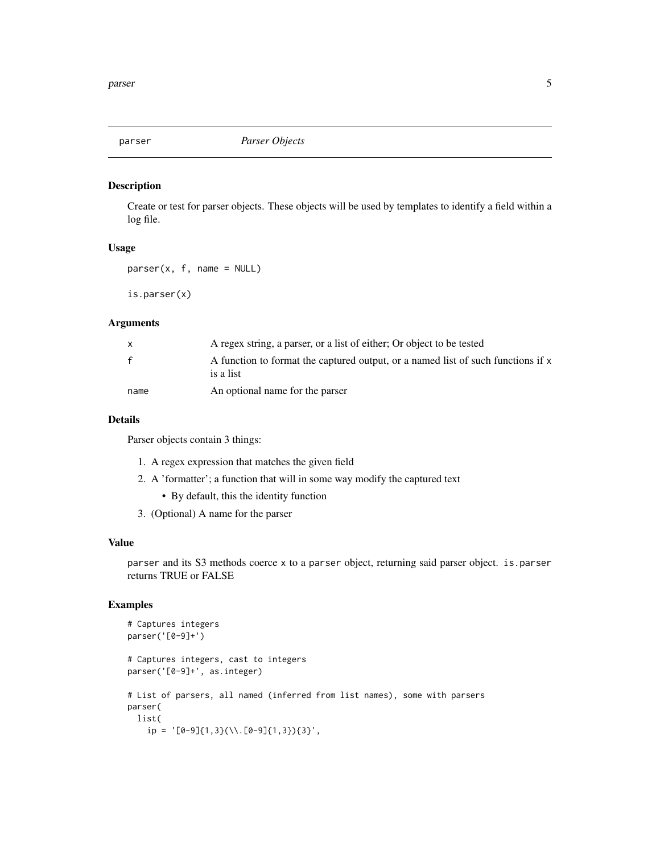<span id="page-4-0"></span>

#### Description

Create or test for parser objects. These objects will be used by templates to identify a field within a log file.

#### Usage

```
parser(x, f, name = NULL)
```
is.parser(x)

#### Arguments

|              | A regex string, a parser, or a list of either; Or object to be tested                         |
|--------------|-----------------------------------------------------------------------------------------------|
| $\mathbf{f}$ | A function to format the captured output, or a named list of such functions if x<br>is a list |
| name         | An optional name for the parser                                                               |

#### Details

Parser objects contain 3 things:

- 1. A regex expression that matches the given field
- 2. A 'formatter'; a function that will in some way modify the captured text
	- By default, this the identity function
- 3. (Optional) A name for the parser

#### Value

parser and its S3 methods coerce x to a parser object, returning said parser object. is.parser returns TRUE or FALSE

#### Examples

```
# Captures integers
parser('[0-9]+')
# Captures integers, cast to integers
parser('[0-9]+', as.integer)
# List of parsers, all named (inferred from list names), some with parsers
parser(
 list(
   ip = '[0-9]{1,3}(\\.[0-9]{1,3}){3}',
```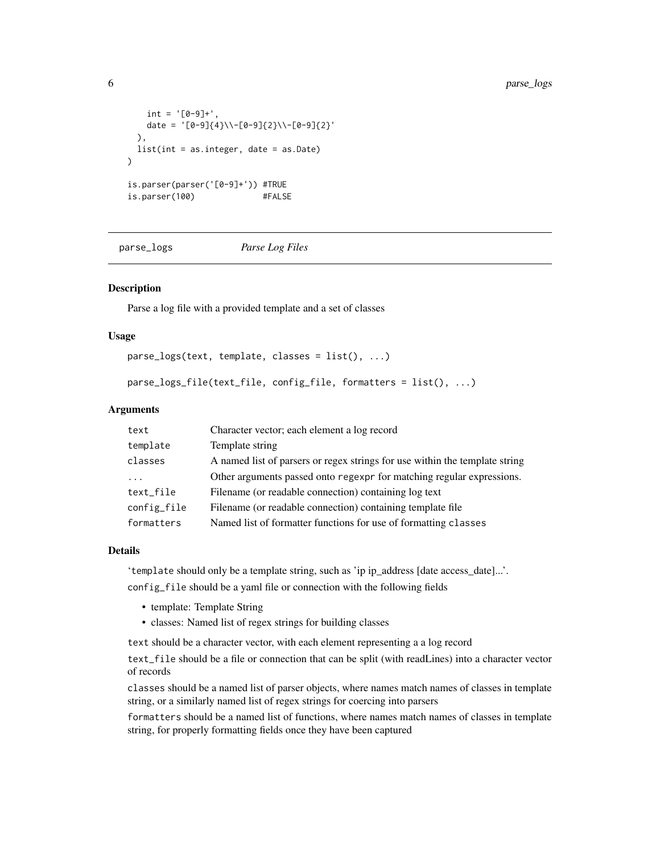```
int = '[0-9]+',date = '[0-9]{4}\\-[0-9]{2}\\-[0-9]{2}'
 ),
 list(int = as.integer, date = as.Date)
\mathcal{L}is.parser(parser('[0-9]+')) #TRUE
is.parser(100) #FALSE
```
parse\_logs *Parse Log Files*

#### Description

Parse a log file with a provided template and a set of classes

#### Usage

 $parse_logs(text, template, classes = list(), ...)$ 

```
parse_logs_file(text_file, config_file, formatters = list(), ...)
```
#### Arguments

| text        | Character vector; each element a log record                                 |
|-------------|-----------------------------------------------------------------------------|
| template    | Template string                                                             |
| classes     | A named list of parsers or regex strings for use within the template string |
|             | Other arguments passed onto regexpr for matching regular expressions.       |
| text_file   | Filename (or readable connection) containing log text                       |
| config_file | Filename (or readable connection) containing template file                  |
| formatters  | Named list of formatter functions for use of formatting classes             |

#### Details

'template should only be a template string, such as 'ip ip\_address [date access\_date]...'.

config\_file should be a yaml file or connection with the following fields

- template: Template String
- classes: Named list of regex strings for building classes

text should be a character vector, with each element representing a a log record

text\_file should be a file or connection that can be split (with readLines) into a character vector of records

classes should be a named list of parser objects, where names match names of classes in template string, or a similarly named list of regex strings for coercing into parsers

formatters should be a named list of functions, where names match names of classes in template string, for properly formatting fields once they have been captured

<span id="page-5-0"></span>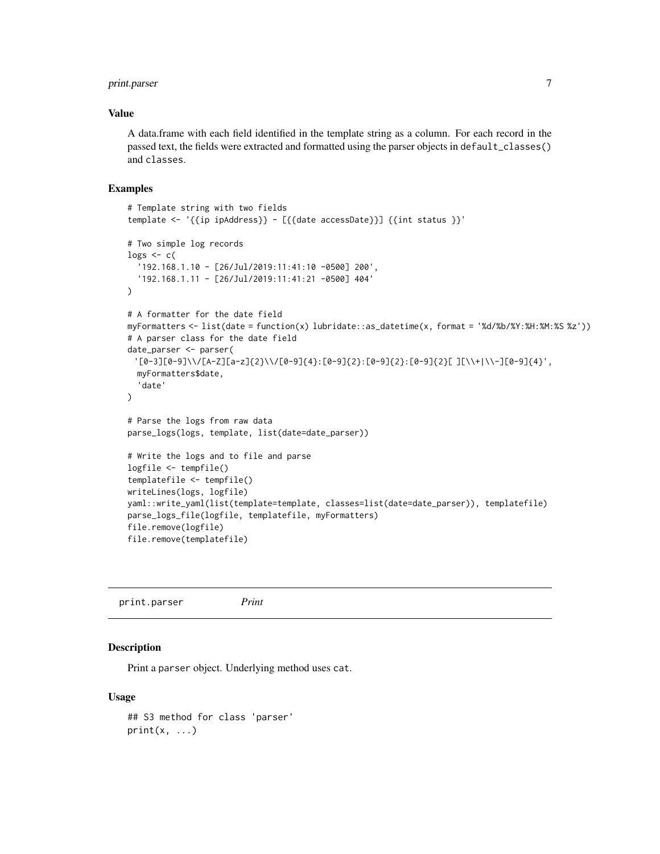#### <span id="page-6-0"></span>print.parser 7

#### Value

A data.frame with each field identified in the template string as a column. For each record in the passed text, the fields were extracted and formatted using the parser objects in default\_classes() and classes.

#### Examples

```
# Template string with two fields
template <- '{{ip ipAddress}} - [{{date accessDate}}] {{int status }}'
# Two simple log records
logs \leftarrow c('192.168.1.10 - [26/Jul/2019:11:41:10 -0500] 200',
  '192.168.1.11 - [26/Jul/2019:11:41:21 -0500] 404'
\lambda# A formatter for the date field
myFormatters <- list(date = function(x) lubridate::as_datetime(x, format = '%d/%b/%Y:%H:%M:%S %z'))
# A parser class for the date field
date_parser <- parser(
 '[0-3][0-9]\\/[A-Z][a-z]{2}\\/[0-9]{4}:[0-9]{2}:[0-9]{2}:[0-9]{2}[ ][\\+|\\-][0-9]{4}',
  myFormatters$date,
  'date'
\mathcal{L}# Parse the logs from raw data
parse_logs(logs, template, list(date=date_parser))
# Write the logs and to file and parse
logfile <- tempfile()
templatefile <- tempfile()
writeLines(logs, logfile)
yaml::write_yaml(list(template=template, classes=list(date=date_parser)), templatefile)
parse_logs_file(logfile, templatefile, myFormatters)
file.remove(logfile)
file.remove(templatefile)
```
print.parser *Print*

#### **Description**

Print a parser object. Underlying method uses cat.

#### Usage

```
## S3 method for class 'parser'
print(x, \ldots)
```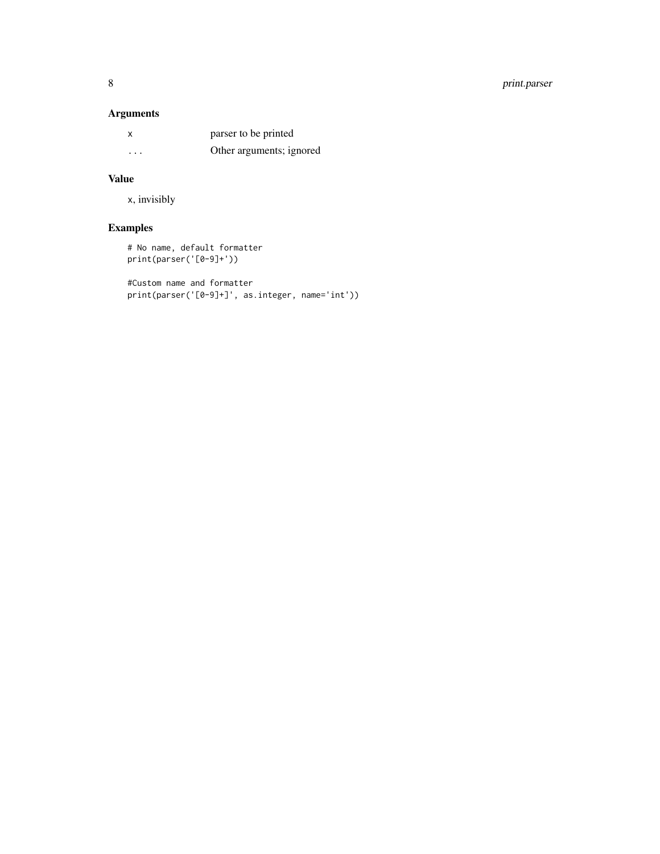#### 8 print.parser

#### Arguments

| x        | parser to be printed     |
|----------|--------------------------|
| $\cdots$ | Other arguments; ignored |

#### Value

x, invisibly

### Examples

# No name, default formatter print(parser('[0-9]+'))

```
#Custom name and formatter
print(parser('[0-9]+]', as.integer, name='int'))
```